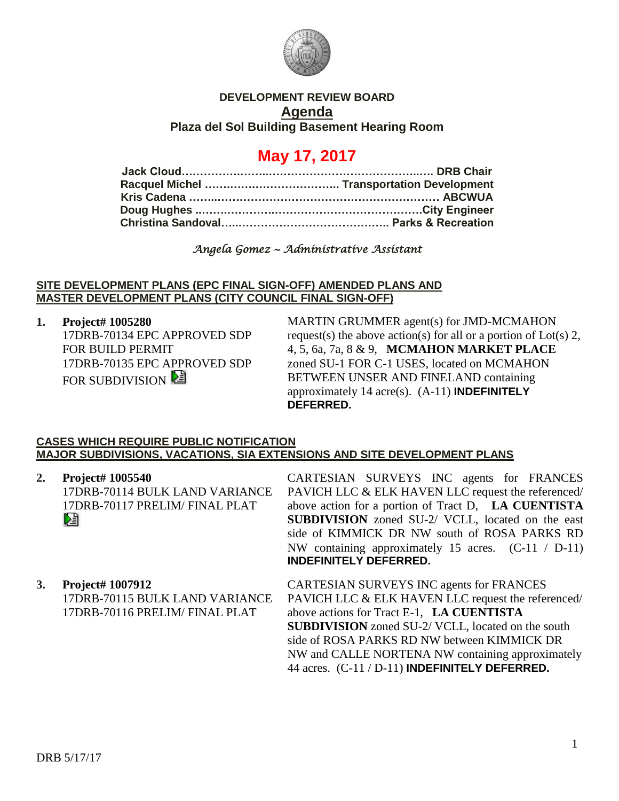

## **DEVELOPMENT REVIEW BOARD Agenda Plaza del Sol Building Basement Hearing Room**

# **May 17, 2017**

## *Angela Gomez ~ Administrative Assistant*

### **SITE DEVELOPMENT PLANS (EPC FINAL SIGN-OFF) AMENDED PLANS AND MASTER DEVELOPMENT PLANS (CITY COUNCIL FINAL SIGN-OFF)**

**1. Project# 1005280** 17DRB-70134 EPC APPROVED SDP FOR BUILD PERMIT 17DRB-70135 EPC APPROVED SDP FOR SUBDIVISION

MARTIN GRUMMER agent(s) for JMD-MCMAHON request(s) the above action(s) for all or a portion of Lot(s) 2, 4, 5, 6a, 7a, 8 & 9, **MCMAHON MARKET PLACE** zoned SU-1 FOR C-1 USES, located on MCMAHON BETWEEN UNSER AND FINELAND containing approximately 14 acre(s). (A-11) **INDEFINITELY DEFERRED.**

#### **CASES WHICH REQUIRE PUBLIC NOTIFICATION MAJOR SUBDIVISIONS, VACATIONS, SIA EXTENSIONS AND SITE DEVELOPMENT PLANS**

**2. Project# 1005540** 17DRB-70114 BULK LAND VARIANCE 17DRB-70117 PRELIM/ FINAL PLAT DÊ

CARTESIAN SURVEYS INC agents for FRANCES PAVICH LLC & ELK HAVEN LLC request the referenced/ above action for a portion of Tract D, **LA CUENTISTA SUBDIVISION** zoned SU-2/ VCLL, located on the east side of KIMMICK DR NW south of ROSA PARKS RD NW containing approximately 15 acres. (C-11 / D-11) **INDEFINITELY DEFERRED.**

**3. Project# 1007912** 17DRB-70115 BULK LAND VARIANCE 17DRB-70116 PRELIM/ FINAL PLAT CARTESIAN SURVEYS INC agents for FRANCES PAVICH LLC & ELK HAVEN LLC request the referenced/ above actions for Tract E-1, **LA CUENTISTA SUBDIVISION** zoned SU-2/ VCLL, located on the south side of ROSA PARKS RD NW between KIMMICK DR NW and CALLE NORTENA NW containing approximately 44 acres. (C-11 / D-11) **INDEFINITELY DEFERRED.**